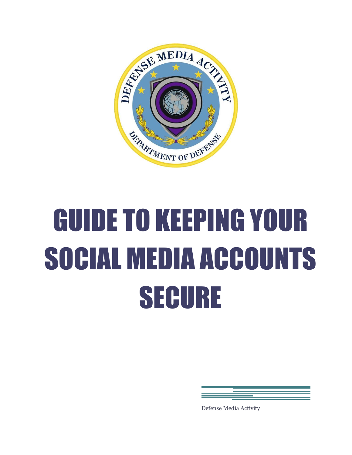

# GUIDE TO KEEPING YOUR SOCIAL MEDIA ACCOUNTS SECURE

Defense Media Activity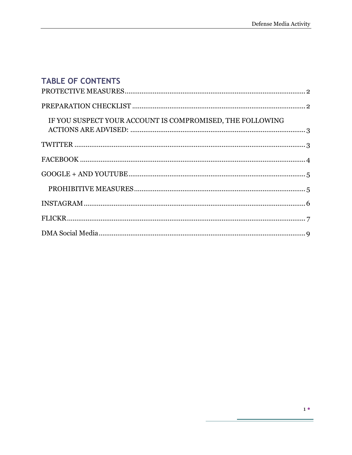# TABLE OF CONTENTS

| IF YOU SUSPECT YOUR ACCOUNT IS COMPROMISED, THE FOLLOWING |  |
|-----------------------------------------------------------|--|
|                                                           |  |
|                                                           |  |
|                                                           |  |
|                                                           |  |
|                                                           |  |
|                                                           |  |
|                                                           |  |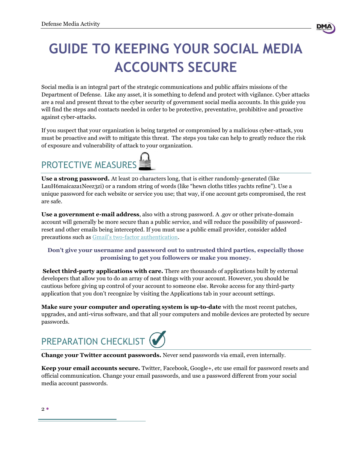# **GUIDE TO KEEPING YOUR SOCIAL MEDIA ACCOUNTS SECURE**

Social media is an integral part of the strategic communications and public affairs missions of the Department of Defense. Like any asset, it is something to defend and protect with vigilance. Cyber attacks are a real and present threat to the cyber security of government social media accounts. In this guide you will find the steps and contacts needed in order to be protective, preventative, prohibitive and proactive against cyber-attacks.

If you suspect that your organization is being targeted or compromised by a malicious cyber-attack, you must be proactive and swift to mitigate this threat. The steps you take can help to greatly reduce the risk of exposure and vulnerability of attack to your organization.

# <span id="page-2-0"></span>PROTECTIVE MEASURES

**Use a strong password.** At least 20 characters long, that is either randomly-generated (like LauH6maicaza1Neez3zi) or a random string of words (like "hewn cloths titles yachts refine"). Use a unique password for each website or service you use; that way, if one account gets compromised, the rest are safe.

**Use a government e-mail address**, also with a strong password. A .gov or other private-domain account will generally be more secure than a public service, and will reduce the possibility of passwordreset and other emails being intercepted. If you must use a public email provider, consider added precautions such as Gmail's two[-factor authentication.](https://www.google.com/landing/2step/)

#### **Don't give your username and password out to untrusted third parties, especially those promising to get you followers or make you money.**

**Select third-party applications with care.** There are thousands of applications built by external developers that allow you to do an array of neat things with your account. However, you should be cautious before giving up control of your account to someone else. Revoke access for any third-party application that you don't recognize by visiting the Applications tab in your account settings.

**Make sure your computer and operating system is up-to-date** with the most recent patches, upgrades, and anti-virus software, and that all your computers and mobile devices are protected by secure passwords.

<span id="page-2-1"></span>

**Change your Twitter account passwords.** Never send passwords via email, even internally.

**Keep your email accounts secure.** Twitter, Facebook, Google+, etc use email for password resets and official communication. Change your email passwords, and use a password different from your social media account passwords.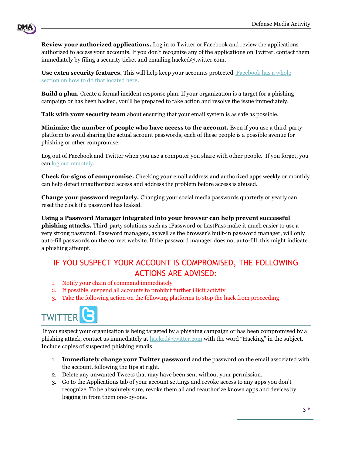**Review your authorized applications.** Log in to Twitter or Facebook and review the applications authorized to access your accounts. If you don't recognize any of the applications on Twitter, contact them immediately by filing a security ticket and emailing hacked@twitter.com.

**Use extra security features.** This will help keep your accounts protected. [Facebook has a whole](https://www.facebook.com/help/413023562082171)  [section on how to do that located here.](https://www.facebook.com/help/413023562082171) 

**Build a plan.** Create a formal incident response plan. If your organization is a target for a phishing campaign or has been hacked, you'll be prepared to take action and resolve the issue immediately.

**Talk with your security team** about ensuring that your email system is as safe as possible.

**Minimize the number of people who have access to the account.** Even if you use a third-party platform to avoid sharing the actual account passwords, each of these people is a possible avenue for phishing or other compromise.

Log out of Facebook and Twitter when you use a computer you share with other people. If you forget, you can [log out remotely.](https://www.facebook.com/help/174571515935086)

**Check for signs of compromise.** Checking your email address and authorized apps weekly or monthly can help detect unauthorized access and address the problem before access is abused.

**Change your password regularly.** Changing your social media passwords quarterly or yearly can reset the clock if a password has leaked.

**Using a Password Manager integrated into your browser can help prevent successful phishing attacks.** Third-party solutions such as 1Password or LastPass make it much easier to use a very strong password. Password managers, as well as the browser's built-in password manager, will only auto-fill passwords on the correct website. If the password manager does not auto-fill, this might indicate a phishing attempt.

## <span id="page-3-0"></span>IF YOU SUSPECT YOUR ACCOUNT IS COMPROMISED, THE FOLLOWING ACTIONS ARE ADVISED:

- 1. Notify your chain of command immediately
- 2. If possible, suspend all accounts to prohibit further illicit activity
- 3. Take the following action on the following platforms to stop the hack from proceeding

<span id="page-3-1"></span>

DM/

If you suspect your organization is being targeted by a phishing campaign or has been compromised by a phishing attack, contact us immediately at [hacked@twitter.com](file://elm/newmedia/00%20Jessica%20Files/Reports/SM%20Best%20Practices/hacked@twitter.com%20) with the word "Hacking" in the subject. Include copies of suspected phishing emails.

- 1. **Immediately change your Twitter password** and the password on the email associated with the account, following the tips at right.
- 2. Delete any unwanted Tweets that may have been sent without your permission.
- 3. Go to the Applications tab of your account settings and revoke access to any apps you don't recognize. To be absolutely sure, revoke them all and reauthorize known apps and devices by logging in from them one-by-one.

3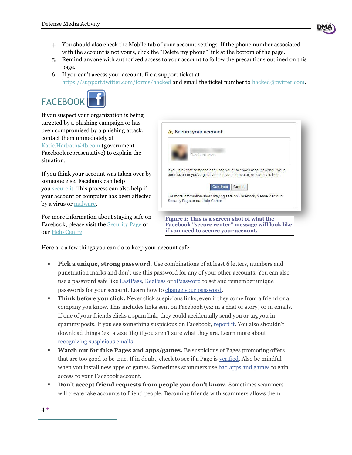

- 4. You should also check the Mobile tab of your account settings. If the phone number associated with the account is not yours, click the "Delete my phone" link at the bottom of the page.
- 5. Remind anyone with authorized access to your account to follow the precautions outlined on this page.
- 6. If you can't access your account, file a support ticket at <https://support.twitter.com/forms/hacked> and email the ticket number to [hacked@twitter.com.](file://elm/newmedia/00%20Jessica%20Files/Reports/SM%20Best%20Practices/hacked@twitter.com)

<span id="page-4-0"></span>

If you suspect your organization is being targeted by a phishing campaign or has been compromised by a phishing attack, contact them immediately at [Katie.Harbath@fb.com](mailto:Katie.Harbath@fb.com) (government Facebook representative) to explain the situation.

If you think your account was taken over by someone else, Facebook can help you [secure it.](https://www.facebook.com/hacked) This process can also help if your account or computer has been affected by a virus or [malware.](https://www.facebook.com/help/263379360433028)

For more information about staying safe on Facebook, please visit the [Security Page](https://www.facebook.com/security) or our [Help Centre.](https://www.facebook.com/help/security)



Here are a few things you can do to keep your account safe:

- **Pick a unique, strong password.** Use combinations of at least 6 letters, numbers and punctuation marks and don't use this password for any of your other accounts. You can also use a password safe like [LastPass,](https://www.facebook.com/l.php?u=https%3A%2F%2Flastpass.com%2Ffb&h=FAQGhpIPs&s=1) [KeePass](http://l.facebook.com/l.php?u=http%3A%2F%2Fkeepass.info%2F&h=yAQG4f6RZ&s=1) or [1Password](https://www.facebook.com/l.php?u=https%3A%2F%2Fagilebits.com%2Fonepassword&h=8AQG8MnH4&s=1) to set and remember unique passwords for your account. Learn how to [change your password.](https://www.facebook.com/help/213395615347144)
- **Think before you click.** Never click suspicious links, even if they come from a friend or a company you know. This includes links sent on Facebook (ex: in a chat or story) or in emails. If one of your friends clicks a spam link, they could accidentally send you or tag you in spammy posts. If you see something suspicious on Facebook, [report it.](https://www.facebook.com/help/181495968648557) You also shouldn't download things (ex: a .exe file) if you aren't sure what they are. Learn more about [recognizing suspicious emails.](https://www.facebook.com/help/324203247669141)
- **Watch out for fake Pages and apps/games.** Be suspicious of Pages promoting offers that are too good to be true. If in doubt, check to see if a Page is [verified.](https://www.facebook.com/help/196050490547892) Also be mindful when you install new apps or games. Sometimes scammers use [bad apps and games](https://www.facebook.com/help/668281256568875) to gain access to your Facebook account.
- **Don't accept friend requests from people you don't know.** Sometimes scammers will create fake accounts to friend people. Becoming friends with scammers allows them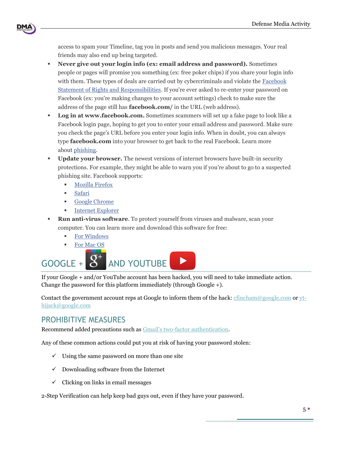

access to spam your Timeline, tag you in posts and send you malicious messages. Your real friends may also end up being targeted.

- **Never give out your login info (ex: email address and password).** Sometimes people or pages will promise you something (ex: free poker chips) if you share your login info with them. These types of deals are carried out by cybercriminals and violate the [Facebook](https://www.facebook.com/legal/terms)  [Statement of Rights and Responsibilities.](https://www.facebook.com/legal/terms) If you're ever asked to re-enter your password on Facebook (ex: you're making changes to your account settings) check to make sure the address of the page still has **facebook.com/** in the URL (web address).
- **Log in at www.facebook.com.** Sometimes scammers will set up a fake page to look like a Facebook login page, hoping to get you to enter your email address and password. Make sure you check the page's URL before you enter your login info. When in doubt, you can always type **facebook.com** into your browser to get back to the real Facebook. Learn more about [phishing.](https://www.facebook.com/help/168134929914064)
- **Update your browser.** The newest versions of internet browsers have built-in security protections. For example, they might be able to warn you if you're about to go to a suspected phishing site. Facebook supports:
	- **[Mozilla Firefox](http://l.facebook.com/l.php?u=http%3A%2F%2Fwww.mozilla.com%2Fen-US%2Ffirefox%2Fall.html&h=HAQFFkqeP&s=1)**
	- [Safari](http://l.facebook.com/l.php?u=http%3A%2F%2Fwww.apple.com%2Fsafari%2Fdownload%2F&h=ZAQEJyhj3&s=1)
	- [Google Chrome](http://l.facebook.com/l.php?u=http%3A%2F%2Fwww.google.com%2Fchrome&h=uAQGc6mqD&s=1)
	- **[Internet Explorer](http://windows.microsoft.com/en-US/internet-explorer/products/ie/home)**
- **Run anti-virus software**. To protect yourself from viruses and malware, scan your computer. You can learn more and download this software for free:
	- **[For Windows](http://windows.microsoft.com/en-US/windows/products/security-essentials)**
	- [For Mac OS](http://l.facebook.com/l.php?u=http%3A%2F%2Fsupport.apple.com%2Fkb%2FHT1222&h=WAQHZE3Wp&s=1)

<span id="page-5-0"></span>

If your Google + and/or YouTube account has been hacked, you will need to take immediate action. Change the password for this platform immediately (through Google +).

Contact the government account reps at Google to inform them of the hack: [cfincham@google.com](mailto:cfincham@google.com) or [yt](mailto:yt-hijack@google.com)[hijack@google.com](mailto:yt-hijack@google.com)

### <span id="page-5-1"></span>PROHIBITIVE MEASURES

Recommend added precautions such as Gmail's two[-factor authentication.](https://www.google.com/landing/2step/)

Any of these common actions could put you at risk of having your password stolen:

- $\checkmark$  Using the same password on more than one site
- $\checkmark$  Downloading software from the Internet
- $\checkmark$  Clicking on links in email messages

2-Step Verification can help keep bad guys out, even if they have your password.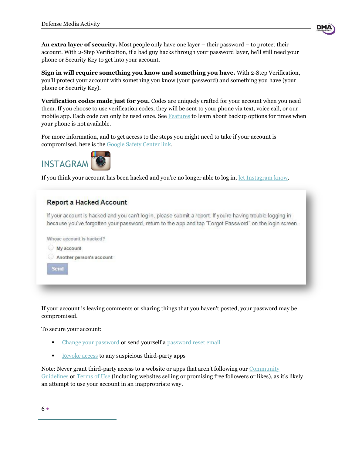**An extra layer of security.** Most people only have one layer – their password – to protect their account. With 2-Step Verification, if a bad guy hacks through your password layer, he'll still need your phone or Security Key to get into your account.

**Sign in will require something you know and something you have.** With 2-Step Verification, you'll protect your account with something you know (your password) and something you have (your phone or Security Key).

**Verification codes made just for you.** Codes are uniquely crafted for your account when you need them. If you choose to use verification codes, they will be sent to your phone via text, voice call, or our mobile app. Each code can only be used once. See [Features](https://www.google.com/landing/2step/features.html) to learn about backup options for times when your phone is not available.

For more information, and to get access to the steps you might need to take if your account is compromised, here is the [Google Safety Center link.](https://www.google.com/safetycenter/tools/)

<span id="page-6-0"></span>

If you think your account has been hacked and you're no longer able to log in, [let Instagram](https://help.instagram.com/contact/740949042640030) know.

#### **Report a Hacked Account**

If your account is hacked and you can't log in, please submit a report. If you're having trouble logging in because you've forgotten your password, return to the app and tap "Forgot Password" on the login screen.



If your account is leaving comments or sharing things that you haven't posted, your password may be compromised.

To secure your account:

- [Change your password](https://instagram.com/accounts/password/change/) or send yourself a [password reset email](https://www.facebook.com/l.php?u=https%3A%2F%2Finstagram.com%2Faccounts%2Fpassword%2Freset%2F&h=LAQGAE0U7&s=1)
- [Revoke access](https://instagram.com/accounts/manage_access) to any suspicious third-party apps

Note: Never grant third-party access to a website or apps that aren't following our [Community](https://www.facebook.com/l.php?u=https%3A%2F%2Fhelp.instagram.com%2F477434105621119&h=zAQGClhDS&s=1)  [Guidelines](https://www.facebook.com/l.php?u=https%3A%2F%2Fhelp.instagram.com%2F477434105621119&h=zAQGClhDS&s=1) or [Terms of Use](https://instagram.com/legal/terms/) (including websites selling or promising free followers or likes), as it's likely an attempt to use your account in an inappropriate way.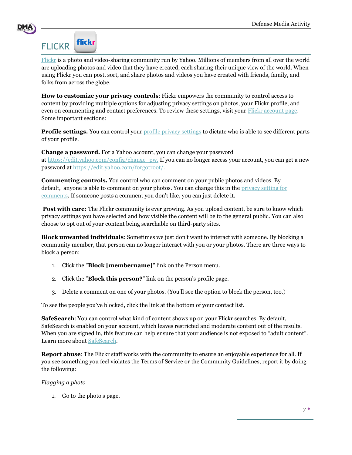

## <span id="page-7-0"></span>**flickr FLICKR**

[Flickr](https://www.flickr.com/) is a photo and video-sharing community run by Yahoo. Millions of members from all over the world are uploading photos and video that they have created, each sharing their unique view of the world. When using Flickr you can post, sort, and share photos and videos you have created with friends, family, and folks from across the globe.

**How to customize your privacy controls**: Flickr empowers the community to control access to content by providing multiple options for adjusting privacy settings on photos, your Flickr profile, and even on commenting and contact preferences. To review these settings, visit your [Flickr account page.](https://www.flickr.com/account/) Some important sections:

Profile settings. You can control your **profile privacy** settings to dictate who is able to see different parts of your profile.

**Change a password.** For a Yahoo account, you can change your password at [https://edit.yahoo.com/config/change\\_pw.](https://edit.yahoo.com/config/change_pw.) If you can no longer access your account, you can get a new password at [https://edit.yahoo.com/forgotroot/.](https://edit.yahoo.com/forgotroot/)

**Commenting controls.** You control who can comment on your public photos and videos. By default, anyone is able to comment on your photos. You can change this in the [privacy setting for](https://www.flickr.com/account/prefs/photoprivacy/)  [comments.](https://www.flickr.com/account/prefs/photoprivacy/) If someone posts a comment you don't like, you can just delete it.

**Post with care:** The Flickr community is ever growing. As you upload content, be sure to know which privacy settings you have selected and how visible the content will be to the general public. You can also choose to opt out of your content being searchable on third-party sites.

**Block unwanted individuals**: Sometimes we just don't want to interact with someone. By blocking a community member, that person can no longer interact with you or your photos. There are three ways to block a person:

- 1. Click the "**Block [membername]**" link on the Person menu.
- 2. Click the "**Block this person?**" link on the person's profile page.
- 3. Delete a comment on one of your photos. (You'll see the option to block the person, too.)

To see the people you've blocked, click the link at the bottom of your contact list.

**SafeSearch**: You can control what kind of content shows up on your Flickr searches. By default, SafeSearch is enabled on your account, which leaves restricted and moderate content out of the results. When you are signed in, this feature can help ensure that your audience is not exposed to "adult content". Learn more about [SafeSearch.](https://www.flickr.com/help/filters/#249)

**Report abuse**: The Flickr staff works with the community to ensure an enjoyable experience for all. If you see something you feel violates the Terms of Service or the Community Guidelines, report it by doing the following:

#### *Flagging a photo*

1. Go to the photo's page.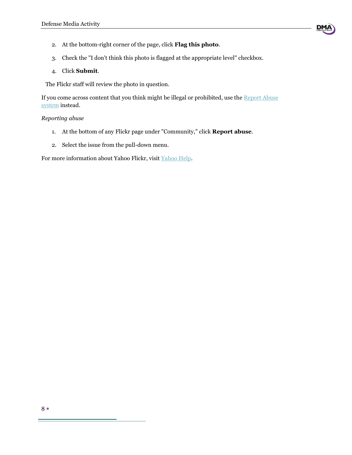

- 2. At the bottom-right corner of the page, click **Flag this photo**.
- 3. Check the "I don't think this photo is flagged at the appropriate level" checkbox.
- 4. Click **Submit**.

The Flickr staff will review the photo in question.

If you come across content that you think might be illegal or prohibited, use the Report Abuse [system](http://www.flickr.com/report_abuse.gne) instead.

#### *Reporting abuse*

- 1. At the bottom of any Flickr page under "Community," click **Report abuse**.
- 2. Select the issue from the pull-down menu.

For more information about Yahoo Flickr, visit [Yahoo Help.](https://help.yahoo.com/kb/flickr)